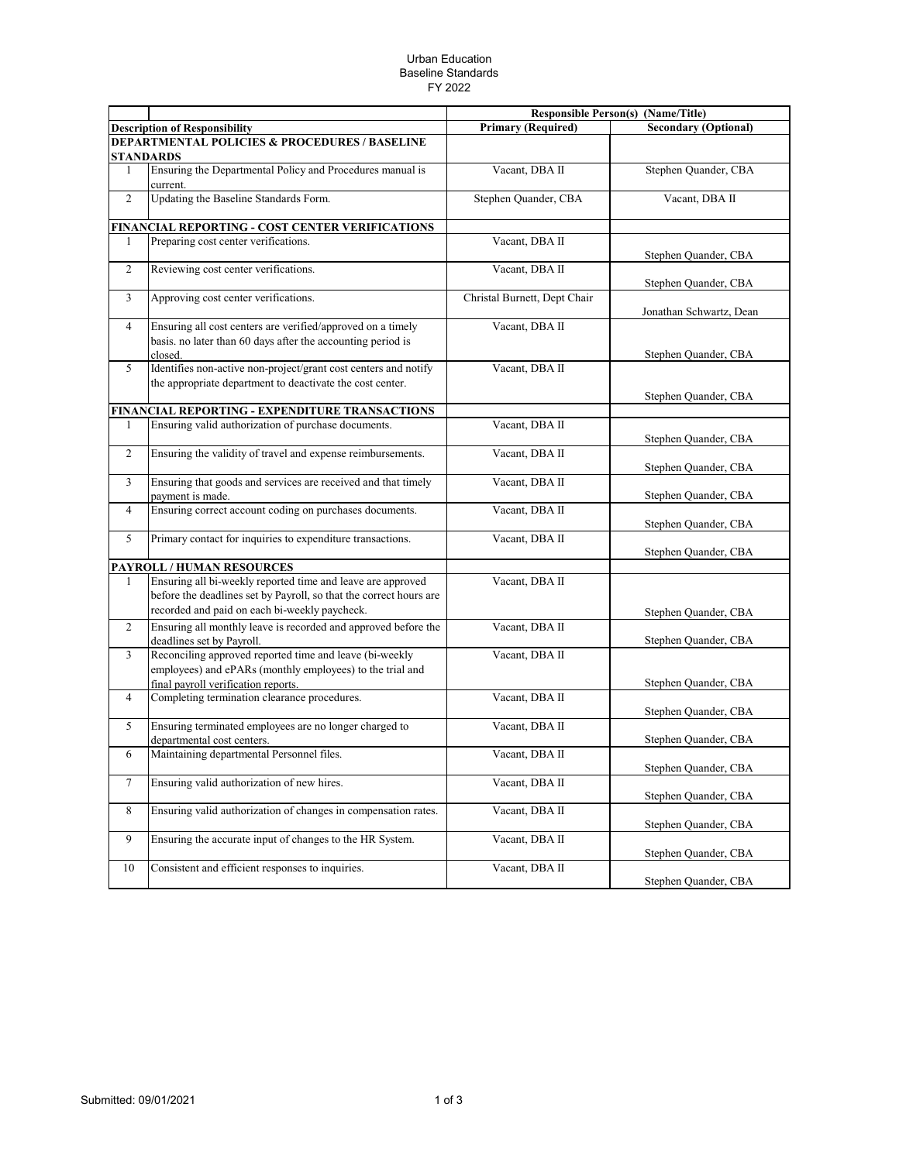## Urban Education Baseline Standards FY 2022

|                                                          |                                                                                                                                                                                    |                              | <b>Responsible Person(s) (Name/Title)</b> |  |  |  |
|----------------------------------------------------------|------------------------------------------------------------------------------------------------------------------------------------------------------------------------------------|------------------------------|-------------------------------------------|--|--|--|
|                                                          | <b>Description of Responsibility</b>                                                                                                                                               | <b>Primary (Required)</b>    | <b>Secondary (Optional)</b>               |  |  |  |
| <b>DEPARTMENTAL POLICIES &amp; PROCEDURES / BASELINE</b> |                                                                                                                                                                                    |                              |                                           |  |  |  |
|                                                          | <b>STANDARDS</b>                                                                                                                                                                   |                              |                                           |  |  |  |
| 1                                                        | Ensuring the Departmental Policy and Procedures manual is<br>current.                                                                                                              | Vacant, DBA II               | Stephen Quander, CBA                      |  |  |  |
| 2                                                        | Updating the Baseline Standards Form.                                                                                                                                              | Stephen Quander, CBA         | Vacant, DBA II                            |  |  |  |
|                                                          | FINANCIAL REPORTING - COST CENTER VERIFICATIONS                                                                                                                                    |                              |                                           |  |  |  |
| 1                                                        | Preparing cost center verifications.                                                                                                                                               | Vacant, DBA II               | Stephen Quander, CBA                      |  |  |  |
| $\overline{2}$                                           | Reviewing cost center verifications.                                                                                                                                               | Vacant, DBA II               | Stephen Quander, CBA                      |  |  |  |
| 3                                                        | Approving cost center verifications.                                                                                                                                               | Christal Burnett, Dept Chair | Jonathan Schwartz, Dean                   |  |  |  |
| $\overline{4}$                                           | Ensuring all cost centers are verified/approved on a timely<br>basis. no later than 60 days after the accounting period is<br>closed.                                              | Vacant, DBA II               | Stephen Quander, CBA                      |  |  |  |
| 5                                                        | Identifies non-active non-project/grant cost centers and notify<br>the appropriate department to deactivate the cost center.                                                       | Vacant, DBA II               | Stephen Quander, CBA                      |  |  |  |
|                                                          | FINANCIAL REPORTING - EXPENDITURE TRANSACTIONS                                                                                                                                     |                              |                                           |  |  |  |
| 1                                                        | Ensuring valid authorization of purchase documents.                                                                                                                                | Vacant, DBA II               | Stephen Quander, CBA                      |  |  |  |
| 2                                                        | Ensuring the validity of travel and expense reimbursements.                                                                                                                        | Vacant, DBA II               | Stephen Quander, CBA                      |  |  |  |
| 3                                                        | Ensuring that goods and services are received and that timely<br>payment is made.                                                                                                  | Vacant, DBA II               | Stephen Quander, CBA                      |  |  |  |
| 4                                                        | Ensuring correct account coding on purchases documents.                                                                                                                            | Vacant, DBA II               | Stephen Quander, CBA                      |  |  |  |
| 5                                                        | Primary contact for inquiries to expenditure transactions.                                                                                                                         | Vacant, DBA II               | Stephen Quander, CBA                      |  |  |  |
|                                                          | <b>PAYROLL / HUMAN RESOURCES</b>                                                                                                                                                   |                              |                                           |  |  |  |
| 1                                                        | Ensuring all bi-weekly reported time and leave are approved<br>before the deadlines set by Payroll, so that the correct hours are<br>recorded and paid on each bi-weekly paycheck. | Vacant, DBA II               | Stephen Quander, CBA                      |  |  |  |
| 2                                                        | Ensuring all monthly leave is recorded and approved before the<br>deadlines set by Payroll.                                                                                        | Vacant, DBA II               | Stephen Quander, CBA                      |  |  |  |
| $\overline{3}$                                           | Reconciling approved reported time and leave (bi-weekly<br>employees) and ePARs (monthly employees) to the trial and<br>final payroll verification reports.                        | Vacant, DBA II               | Stephen Quander, CBA                      |  |  |  |
| $\overline{4}$                                           | Completing termination clearance procedures.                                                                                                                                       | Vacant, DBA II               | Stephen Quander, CBA                      |  |  |  |
| 5                                                        | Ensuring terminated employees are no longer charged to<br>departmental cost centers.                                                                                               | Vacant, DBA II               | Stephen Quander, CBA                      |  |  |  |
| 6                                                        | Maintaining departmental Personnel files.                                                                                                                                          | Vacant, DBA II               | Stephen Quander, CBA                      |  |  |  |
| $\tau$                                                   | Ensuring valid authorization of new hires.                                                                                                                                         | Vacant, DBA II               | Stephen Quander, CBA                      |  |  |  |
| 8                                                        | Ensuring valid authorization of changes in compensation rates.                                                                                                                     | Vacant, DBA II               | Stephen Quander, CBA                      |  |  |  |
| 9                                                        | Ensuring the accurate input of changes to the HR System.                                                                                                                           | Vacant, DBA II               | Stephen Quander, CBA                      |  |  |  |
| 10                                                       | Consistent and efficient responses to inquiries.                                                                                                                                   | Vacant, DBA II               | Stephen Quander, CBA                      |  |  |  |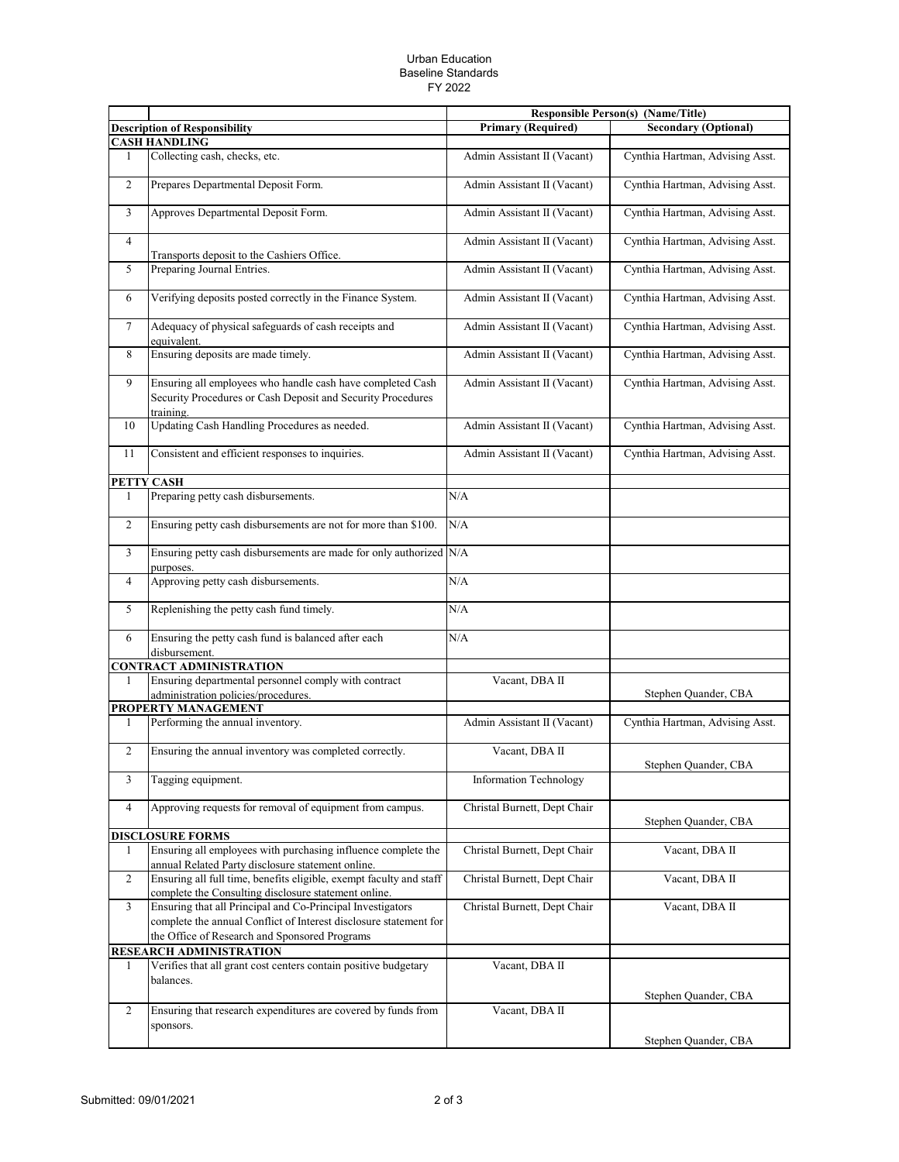## Urban Education Baseline Standards FY 2022

|                |                                                                                                                                                                                  |                              | <b>Responsible Person(s) (Name/Title)</b> |
|----------------|----------------------------------------------------------------------------------------------------------------------------------------------------------------------------------|------------------------------|-------------------------------------------|
|                | <b>Description of Responsibility</b>                                                                                                                                             | <b>Primary (Required)</b>    | <b>Secondary (Optional)</b>               |
|                | <b>CASH HANDLING</b>                                                                                                                                                             |                              |                                           |
| 1              | Collecting cash, checks, etc.                                                                                                                                                    | Admin Assistant II (Vacant)  | Cynthia Hartman, Advising Asst.           |
| $\overline{c}$ | Prepares Departmental Deposit Form.                                                                                                                                              | Admin Assistant II (Vacant)  | Cynthia Hartman, Advising Asst.           |
| 3              | Approves Departmental Deposit Form.                                                                                                                                              | Admin Assistant II (Vacant)  | Cynthia Hartman, Advising Asst.           |
| $\overline{4}$ | Transports deposit to the Cashiers Office.                                                                                                                                       | Admin Assistant II (Vacant)  | Cynthia Hartman, Advising Asst.           |
| 5              | Preparing Journal Entries.                                                                                                                                                       | Admin Assistant II (Vacant)  | Cynthia Hartman, Advising Asst.           |
| 6              | Verifying deposits posted correctly in the Finance System.                                                                                                                       | Admin Assistant II (Vacant)  | Cynthia Hartman, Advising Asst.           |
| $\overline{7}$ | Adequacy of physical safeguards of cash receipts and<br>equivalent.                                                                                                              | Admin Assistant II (Vacant)  | Cynthia Hartman, Advising Asst.           |
| 8              | Ensuring deposits are made timely.                                                                                                                                               | Admin Assistant II (Vacant)  | Cynthia Hartman, Advising Asst.           |
| 9              | Ensuring all employees who handle cash have completed Cash<br>Security Procedures or Cash Deposit and Security Procedures<br>training.                                           | Admin Assistant II (Vacant)  | Cynthia Hartman, Advising Asst.           |
| 10             | Updating Cash Handling Procedures as needed.                                                                                                                                     | Admin Assistant II (Vacant)  | Cynthia Hartman, Advising Asst.           |
| 11             | Consistent and efficient responses to inquiries.                                                                                                                                 | Admin Assistant II (Vacant)  | Cynthia Hartman, Advising Asst.           |
|                | PETTY CASH                                                                                                                                                                       |                              |                                           |
| $\mathbf{1}$   | Preparing petty cash disbursements.                                                                                                                                              | N/A                          |                                           |
| $\overline{c}$ | Ensuring petty cash disbursements are not for more than \$100.                                                                                                                   | N/A                          |                                           |
| 3              | Ensuring petty cash disbursements are made for only authorized N/A<br>purposes.                                                                                                  |                              |                                           |
| $\overline{4}$ | Approving petty cash disbursements.                                                                                                                                              | N/A                          |                                           |
| 5              | Replenishing the petty cash fund timely.                                                                                                                                         | N/A                          |                                           |
| 6              | Ensuring the petty cash fund is balanced after each<br>disbursement.                                                                                                             | N/A                          |                                           |
|                | <b>CONTRACT ADMINISTRATION</b>                                                                                                                                                   |                              |                                           |
| 1              | Ensuring departmental personnel comply with contract<br>administration policies/procedures.                                                                                      | Vacant, DBA II               | Stephen Quander, CBA                      |
|                | <b>PROPERTY MANAGEMENT</b>                                                                                                                                                       |                              |                                           |
| 1              | Performing the annual inventory.                                                                                                                                                 | Admin Assistant II (Vacant)  | Cynthia Hartman, Advising Asst.           |
| $\mathbf{2}$   | Ensuring the annual inventory was completed correctly.                                                                                                                           | Vacant, DBA II               | Stephen Quander, CBA                      |
| 3              | Tagging equipment.                                                                                                                                                               | Information Technology       |                                           |
| $\overline{4}$ | Approving requests for removal of equipment from campus.                                                                                                                         | Christal Burnett, Dept Chair | Stephen Quander, CBA                      |
|                | <b>DISCLOSURE FORMS</b>                                                                                                                                                          |                              |                                           |
| 1              | Ensuring all employees with purchasing influence complete the<br>annual Related Party disclosure statement online.                                                               | Christal Burnett, Dept Chair | Vacant, DBA II                            |
| $\overline{2}$ | Ensuring all full time, benefits eligible, exempt faculty and staff<br>complete the Consulting disclosure statement online.                                                      | Christal Burnett, Dept Chair | Vacant, DBA II                            |
| 3              | Ensuring that all Principal and Co-Principal Investigators<br>complete the annual Conflict of Interest disclosure statement for<br>the Office of Research and Sponsored Programs | Christal Burnett, Dept Chair | Vacant, DBA II                            |
|                | RESEARCH ADMINISTRATION                                                                                                                                                          |                              |                                           |
| 1              | Verifies that all grant cost centers contain positive budgetary<br>balances.                                                                                                     | Vacant, DBA II               | Stephen Quander, CBA                      |
| $\overline{c}$ | Ensuring that research expenditures are covered by funds from                                                                                                                    | Vacant, DBA II               |                                           |
|                | sponsors.                                                                                                                                                                        |                              |                                           |
|                |                                                                                                                                                                                  |                              | Stephen Quander, CBA                      |